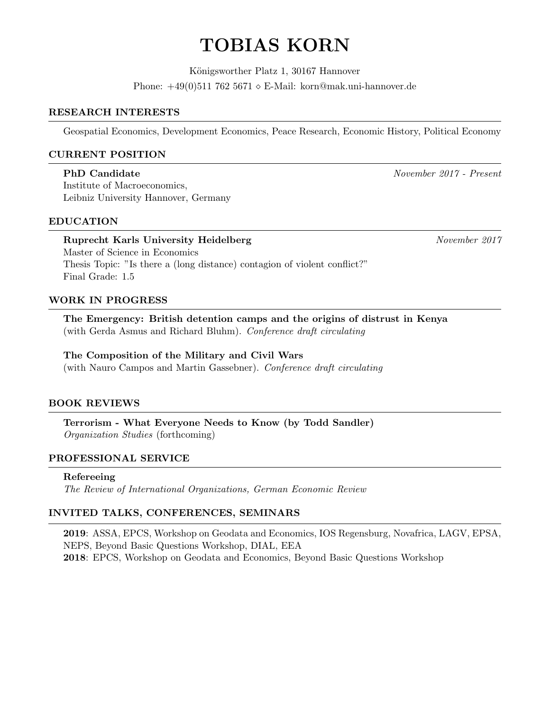# TOBIAS KORN

Königsworther Platz 1, 30167 Hannover Phone:  $+49(0)5117625671 \diamond E\text{-Mail: korn@mak.uni-hannover.de}$ 

#### RESEARCH INTERESTS

Geospatial Economics, Development Economics, Peace Research, Economic History, Political Economy

#### CURRENT POSITION

# PhD Candidate November 2017 - Present

Institute of Macroeconomics, Leibniz University Hannover, Germany

#### EDUCATION

# Ruprecht Karls University Heidelberg November 2017 Master of Science in Economics Thesis Topic: "Is there a (long distance) contagion of violent conflict?" Final Grade: 1.5

## WORK IN PROGRESS

The Emergency: British detention camps and the origins of distrust in Kenya (with Gerda Asmus and Richard Bluhm). Conference draft circulating

# The Composition of the Military and Civil Wars

(with Nauro Campos and Martin Gassebner). Conference draft circulating

#### BOOK REVIEWS

Terrorism - What Everyone Needs to Know (by Todd Sandler) Organization Studies (forthcoming)

#### PROFESSIONAL SERVICE

#### Refereeing

The Review of International Organizations, German Economic Review

#### INVITED TALKS, CONFERENCES, SEMINARS

2019: ASSA, EPCS, Workshop on Geodata and Economics, IOS Regensburg, Novafrica, LAGV, EPSA, NEPS, Beyond Basic Questions Workshop, DIAL, EEA 2018: EPCS, Workshop on Geodata and Economics, Beyond Basic Questions Workshop